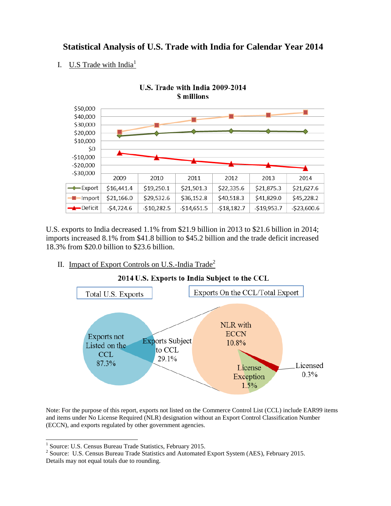## **Statistical Analysis of U.S. Trade with India for Calendar Year 2014**

I. U.S Trade with India<sup>1</sup>



U.S. exports to India decreased 1.1% from \$21.9 billion in 2013 to \$21.6 billion in 2014; imports increased 8.1% from \$41.8 billion to \$45.2 billion and the trade deficit increased 18.3% from \$20.0 billion to \$23.6 billion.

II. Impact of Export Controls on U.S.-India Trade<sup>2</sup>



2014 U.S. Exports to India Subject to the CCL

Note: For the purpose of this report, exports not listed on the Commerce Control List (CCL) include EAR99 items and items under No License Required (NLR) designation without an Export Control Classification Number (ECCN), and exports regulated by other government agencies.

 $\overline{\phantom{a}}$ 

<sup>&</sup>lt;sup>1</sup> Source: U.S. Census Bureau Trade Statistics, February 2015.

<sup>&</sup>lt;sup>2</sup> Source: U.S. Census Bureau Trade Statistics and Automated Export System (AES), February 2015.

Details may not equal totals due to rounding.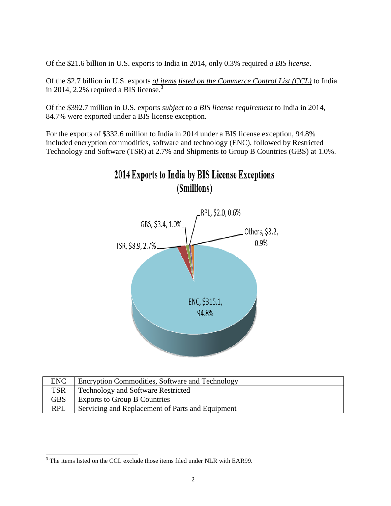Of the \$21.6 billion in U.S. exports to India in 2014, only 0.3% required *a BIS license*.

Of the \$2.7 billion in U.S. exports *of items listed on the Commerce Control List (CCL)* to India in 2014, 2.2% required a BIS license.<sup>3</sup>

Of the \$392.7 million in U.S. exports *subject to a BIS license requirement* to India in 2014, 84.7% were exported under a BIS license exception.

For the exports of \$332.6 million to India in 2014 under a BIS license exception, 94.8% included encryption commodities, software and technology (ENC), followed by Restricted Technology and Software (TSR) at 2.7% and Shipments to Group B Countries (GBS) at 1.0%.





| <b>ENC</b> | Encryption Commodities, Software and Technology  |
|------------|--------------------------------------------------|
| <b>TSR</b> | <b>Technology and Software Restricted</b>        |
| <b>GBS</b> | <b>Exports to Group B Countries</b>              |
| <b>RPL</b> | Servicing and Replacement of Parts and Equipment |

 $\overline{\phantom{a}}$  $3$  The items listed on the CCL exclude those items filed under NLR with EAR99.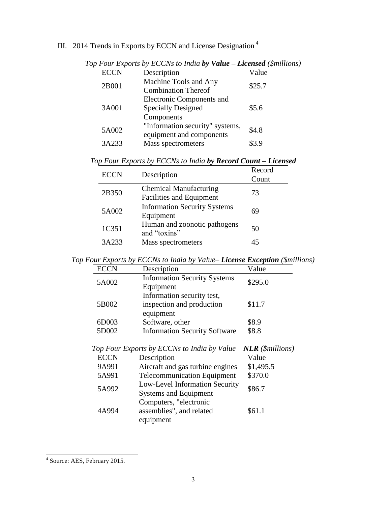## III. 2014 Trends in Exports by ECCN and License Designation <sup>4</sup>

|             | $I$ our Exports by ECCTs to main by value $I$ Elemsed (smilled       |        |
|-------------|----------------------------------------------------------------------|--------|
| <b>ECCN</b> | Description                                                          | Value  |
| 2B001       | Machine Tools and Any<br><b>Combination Thereof</b>                  | \$25.7 |
| 3A001       | Electronic Components and<br><b>Specially Designed</b><br>Components | \$5.6  |
| 5A002       | "Information security" systems,<br>equipment and components          | \$4.8  |
| 3A233       | Mass spectrometers                                                   | \$3.9  |

*Top Four Exports by ECCNs to India by Value – Licensed (\$millions)*

|  |  | Top Four Exports by ECCNs to India by Record Count - Licensed |  |  |  |
|--|--|---------------------------------------------------------------|--|--|--|
|  |  |                                                               |  |  |  |

| <b>ECCN</b> | Description                                                      | Record<br>Count |
|-------------|------------------------------------------------------------------|-----------------|
| 2B350       | <b>Chemical Manufacturing</b><br><b>Facilities and Equipment</b> | 73              |
| 5A002       | <b>Information Security Systems</b><br>Equipment                 | 69              |
| 1C351       | Human and zoonotic pathogens<br>and "toxins"                     | 50              |
| 3A233       | Mass spectrometers                                               | 45              |

*Top Four Exports by ECCNs to India by Value– License Exception (\$millions)*

| <b>ECCN</b>    | Description                                                          | Value          |
|----------------|----------------------------------------------------------------------|----------------|
| 5A002          | <b>Information Security Systems</b><br>Equipment                     | \$295.0        |
| 5B002          | Information security test,<br>inspection and production<br>equipment | \$11.7         |
| 6D003<br>5D002 | Software, other<br><b>Information Security Software</b>              | \$8.9<br>\$8.8 |

| <b>ECCN</b> | Description                                                     | Value     |
|-------------|-----------------------------------------------------------------|-----------|
| 9A991       | Aircraft and gas turbine engines                                | \$1,495.5 |
| 5A991       | <b>Telecommunication Equipment</b>                              | \$370.0   |
| 5A992       | Low-Level Information Security<br><b>Systems and Equipment</b>  | \$86.7    |
| 4A994       | Computers, "electronic<br>assemblies", and related<br>equipment | \$61.1    |

*Top Four Exports by ECCNs to India by Value – NLR (\$millions)*

 4 Source: AES, February 2015.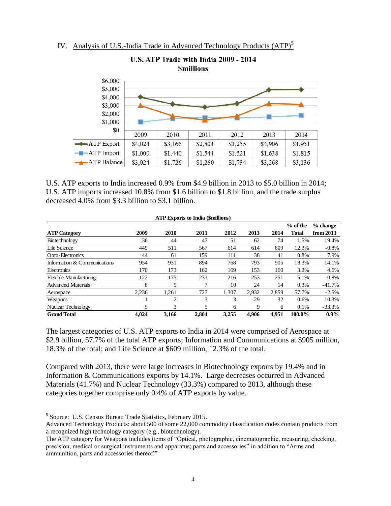IV. Analysis of U.S.-India Trade in Advanced Technology Products (ATP)<sup>5</sup>



U.S. ATP exports to India increased 0.9% from \$4.9 billion in 2013 to \$5.0 billion in 2014; U.S. ATP imports increased 10.8% from \$1.6 billion to \$1.8 billion, and the trade surplus decreased 4.0% from \$3.3 billion to \$3.1 billion.

| <b>ATP Exports to India (\$millions)</b> |       |       |       |       |       |       |            |            |
|------------------------------------------|-------|-------|-------|-------|-------|-------|------------|------------|
|                                          |       |       |       |       |       |       | $%$ of the | $%$ change |
| <b>ATP Category</b>                      | 2009  | 2010  | 2011  | 2012  | 2013  | 2014  | Total      | from 2013  |
| Biotechnology                            | 36    | 44    | 47    | 51    | 62    | 74    | 1.5%       | 19.4%      |
| Life Science                             | 449   | 511   | 567   | 614   | 614   | 609   | 12.3%      | $-0.8%$    |
| Opto-Electronics                         | 44    | 61    | 159   | 111   | 38    | 41    | 0.8%       | 7.9%       |
| Information & Communications             | 954   | 931   | 894   | 768   | 793   | 905   | 18.3%      | 14.1%      |
| Electronics                              | 170   | 173   | 162   | 169   | 153   | 160   | 3.2%       | 4.6%       |
| <b>Flexible Manufacturing</b>            | 122   | 175   | 233   | 216   | 253   | 251   | 5.1%       | $-0.8%$    |
| <b>Advanced Materials</b>                | 8     | 5     | 7     | 10    | 24    | 14    | 0.3%       | $-41.7%$   |
| Aerospace                                | 2,236 | 1,261 | 727   | 1,307 | 2,932 | 2,859 | 57.7%      | $-2.5%$    |
| Weapons                                  |       | 2     | 3     | 3     | 29    | 32    | 0.6%       | 10.3%      |
| Nuclear Technology                       |       | 3     | 5     | 6     | 9     | 6     | 0.1%       | $-33.3%$   |
| <b>Grand Total</b>                       | 4.024 | 3,166 | 2.804 | 3.255 | 4.906 | 4.951 | 100.0%     | $0.9\%$    |

The largest categories of U.S. ATP exports to India in 2014 were comprised of Aerospace at \$2.9 billion, 57.7% of the total ATP exports; Information and Communications at \$905 million, 18.3% of the total; and Life Science at \$609 million, 12.3% of the total.

Compared with 2013, there were large increases in Biotechnology exports by 19.4% and in Information & Communications exports by 14.1%. Large decreases occurred in Advanced Materials (41.7%) and Nuclear Technology (33.3%) compared to 2013, although these categories together comprise only 0.4% of ATP exports by value.

 $\overline{\phantom{a}}$ 

<sup>&</sup>lt;sup>5</sup> Source: U.S. Census Bureau Trade Statistics, February 2015.

Advanced Technology Products: about 500 of some 22,000 commodity classification codes contain products from a recognized high technology category (e.g., biotechnology).

The ATP category for Weapons includes items of "Optical, photographic, cinematographic, measuring, checking, precision, medical or surgical instruments and apparatus; parts and accessories" in addition to "Arms and ammunition, parts and accessories thereof."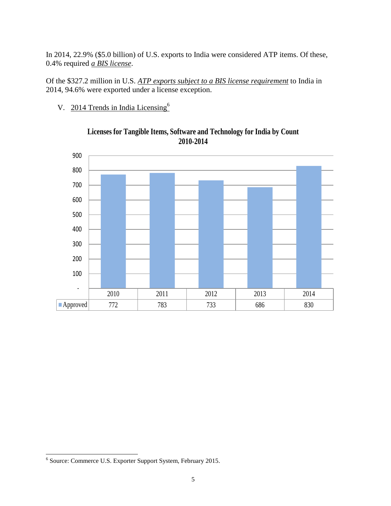In 2014, 22.9% (\$5.0 billion) of U.S. exports to India were considered ATP items. Of these, 0.4% required *a BIS license*.

Of the \$327.2 million in U.S. *ATP exports subject to a BIS license requirement* to India in 2014, 94.6% were exported under a license exception.

V. 2014 Trends in India Licensing<sup>6</sup>



## **Licenses for Tangible Items, Software and Technology for India by Count 2010-2014**

 6 Source: Commerce U.S. Exporter Support System, February 2015.